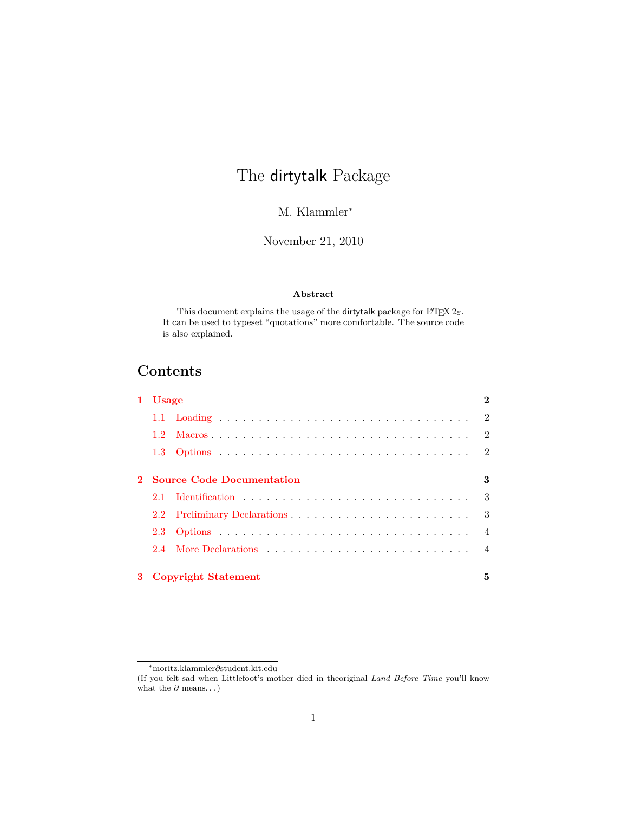# The dirtytalk Package

M. Klammler<sup>∗</sup>

November 21, 2010

### **Abstract**

This document explains the usage of the dirtytalk package for LATEX 2*ε*. It can be used to typeset "quotations" more comfortable. The source code is also explained.

## **Contents**

| 1 Usage |                             | $\mathbf{2}$   |
|---------|-----------------------------|----------------|
|         |                             |                |
| $1.2 -$ |                             |                |
|         |                             |                |
|         | 2 Source Code Documentation | 3              |
|         |                             |                |
|         |                             |                |
|         |                             | $\overline{4}$ |
|         |                             |                |
|         | 3 Copyright Statement       | 5              |

<sup>∗</sup>moritz.klammler*∂*student.kit*.*edu

<sup>(</sup>If you felt sad when Littlefoot's mother died in theoriginal *Land Before Time* you'll know what the  $\partial$  means. . . )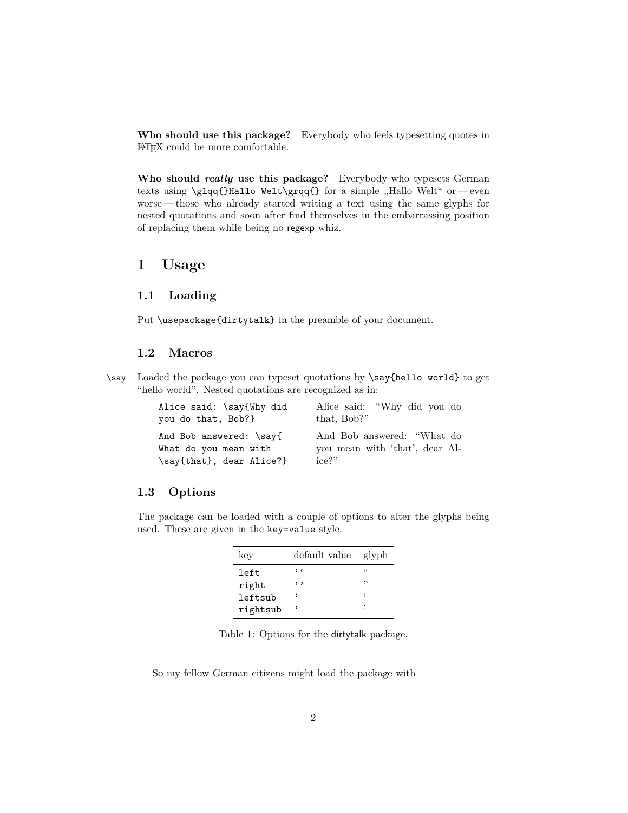**Who should use this package?** Everybody who feels typesetting quotes in LATEX could be more comfortable.

**Who should** *really* **use this package?** Everybody who typesets German texts using \glqq{}Hallo Welt\grqq{} for a simple "Hallo Welt" or — even worse — those who already started writing a text using the same glyphs for nested quotations and soon after find themselves in the embarrassing position of replacing them while being no regexp whiz.

### <span id="page-1-0"></span>**1 Usage**

#### <span id="page-1-1"></span>**1.1 Loading**

Put \usepackage{dirtytalk} in the preamble of your document.

### <span id="page-1-2"></span>**1.2 Macros**

\say Loaded the package you can typeset quotations by \say{hello world} to get "hello world". Nested quotations are recognized as in:

| Alice said: \say{Why did | Alice said: "Why did you do    |
|--------------------------|--------------------------------|
| you do that, Bob?}       | that, Bob?"                    |
| And Bob answered: \say{  | And Bob answered: "What do     |
| What do you mean with    | you mean with 'that', dear Al- |
| \say{that}, dear Alice?} | $ice?$ "                       |

#### <span id="page-1-3"></span>**1.3 Options**

The package can be loaded with a couple of options to alter the glyphs being used. These are given in the key=value style.

| key      | default value         | glyph |
|----------|-----------------------|-------|
| left     | $\epsilon$ $\epsilon$ | 44    |
| right    | $, \, ,$              | "     |
| leftsub  |                       |       |
| rightsub |                       |       |

Table 1: Options for the dirtytalk package.

So my fellow German citizens might load the package with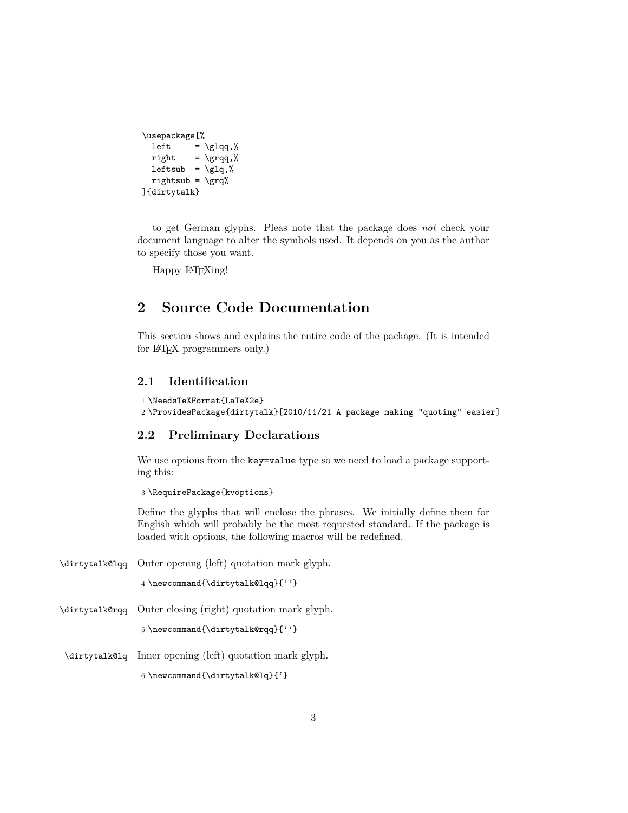```
\usepackage[%
  left = \gtrsim 1qq,%
 right = \qquad |
 leftsub = \gtrsimrightsub = \qquad]{dirtytalk}
```
to get German glyphs. Pleas note that the package does *not* check your document language to alter the symbols used. It depends on you as the author to specify those you want.

Happy L<sup>AT</sup>EXing!

### <span id="page-2-0"></span>**2 Source Code Documentation**

This section shows and explains the entire code of the package. (It is intended for L<sup>AT</sup>FX programmers only.)

### <span id="page-2-1"></span>**2.1 Identification**

```
1 \NeedsTeXFormat{LaTeX2e}
2 \ProvidesPackage{dirtytalk}[2010/11/21 A package making "quoting" easier]
```
### <span id="page-2-2"></span>**2.2 Preliminary Declarations**

We use options from the key=value type so we need to load a package supporting this:

3 \RequirePackage{kvoptions}

Define the glyphs that will enclose the phrases. We initially define them for English which will probably be the most requested standard. If the package is loaded with options, the following macros will be redefined.

\dirtytalk@lqq Outer opening (left) quotation mark glyph.

4 \newcommand{\dirtytalk@lqq}{''}

\dirtytalk@rqq Outer closing (right) quotation mark glyph.

5 \newcommand{\dirtytalk@rqq}{''}

\dirtytalk@lq Inner opening (left) quotation mark glyph.

6 \newcommand{\dirtytalk@lq}{'}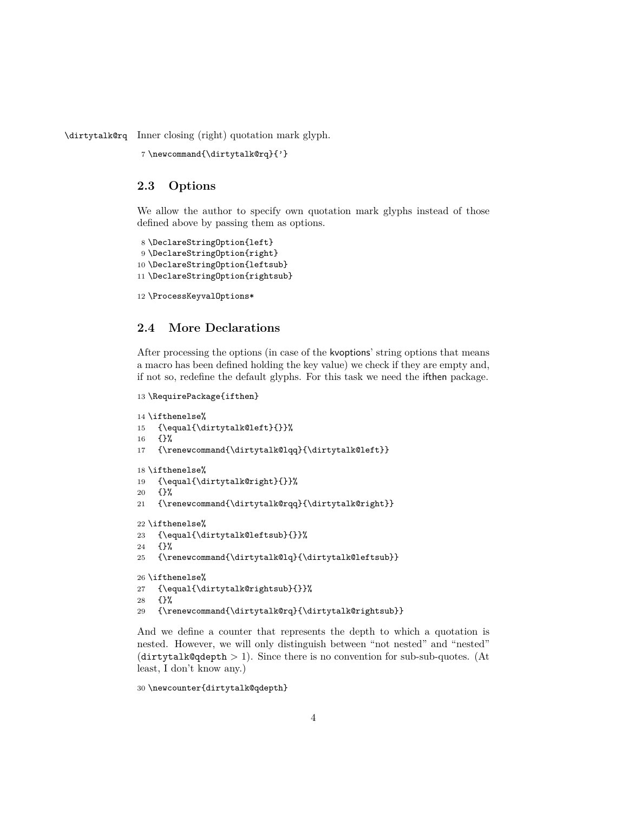\dirtytalk@rq Inner closing (right) quotation mark glyph.

```
7 \newcommand{\dirtytalk@rq}{'}
```
### <span id="page-3-0"></span>**2.3 Options**

We allow the author to specify own quotation mark glyphs instead of those defined above by passing them as options.

```
8 \DeclareStringOption{left}
9 \DeclareStringOption{right}
10 \DeclareStringOption{leftsub}
11 \DeclareStringOption{rightsub}
```

```
12 \ProcessKeyvalOptions*
```
### <span id="page-3-1"></span>**2.4 More Declarations**

After processing the options (in case of the kvoptions' string options that means a macro has been defined holding the key value) we check if they are empty and, if not so, redefine the default glyphs. For this task we need the ifthen package.

```
13 \RequirePackage{ifthen}
```

```
14 \ifthenelse%
15 {\equal{\dirtytalk@left}{}}%
16 {}%
17 {\renewcommand{\dirtytalk@lqq}{\dirtytalk@left}}
18 \ifthenelse%
19 {\equal{\dirtytalk@right}{}}%
20 {}%
21 {\renewcommand{\dirtytalk@rqq}{\dirtytalk@right}}
22 \ifthenelse%
23 {\equal{\dirtytalk@leftsub}{}}%
24 {}%
25 {\renewcommand{\dirtytalk@lq}{\dirtytalk@leftsub}}
26 \ifthenelse%
27 {\equal{\dirtytalk@rightsub}{}}%
28 {}%
29 {\renewcommand{\dirtytalk@rq}{\dirtytalk@rightsub}}
```
And we define a counter that represents the depth to which a quotation is nested. However, we will only distinguish between "not nested" and "nested" (dirtytalk@qdepth *>* 1). Since there is no convention for sub-sub-quotes. (At least, I don't know any.)

\newcounter{dirtytalk@qdepth}